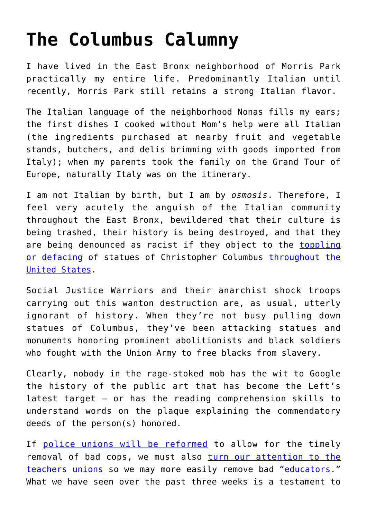## **[The Columbus Calumny](https://intellectualtakeout.org/2020/06/the-columbus-calumny/)**

I have lived in the East Bronx neighborhood of Morris Park practically my entire life. Predominantly Italian until recently, Morris Park still retains a strong Italian flavor.

The Italian language of the neighborhood Nonas fills my ears; the first dishes I cooked without Mom's help were all Italian (the ingredients purchased at nearby fruit and vegetable stands, butchers, and delis brimming with goods imported from Italy); when my parents took the family on the Grand Tour of Europe, naturally Italy was on the itinerary.

I am not Italian by birth, but I am by *osmosis*. Therefore, I feel very acutely the anguish of the Italian community throughout the East Bronx, bewildered that their culture is being trashed, their history is being destroyed, and that they are being denounced as racist if they object to the [toppling](https://www.timesofisrael.com/us-protesters-topple-behead-and-drown-christopher-columbus-statues/) [or defacing](https://www.timesofisrael.com/us-protesters-topple-behead-and-drown-christopher-columbus-statues/) of statues of Christopher Columbus [throughout the](https://en.wikipedia.org/wiki/List_of_monuments_and_memorials_to_Christopher_Columbus#United_States) [United States](https://en.wikipedia.org/wiki/List_of_monuments_and_memorials_to_Christopher_Columbus#United_States).

Social Justice Warriors and their anarchist shock troops carrying out this wanton destruction are, as usual, utterly ignorant of history. When they're not busy pulling down statues of Columbus, they've been attacking statues and monuments honoring prominent abolitionists and black soldiers who fought with the Union Army to free blacks from slavery.

Clearly, nobody in the rage-stoked mob has the wit to Google the history of the public art that has become the Left's latest target – or has the reading comprehension skills to understand words on the plaque explaining the commendatory deeds of the person(s) honored.

If [police unions will be reformed](https://www.latimes.com/politics/story/2020-06-15/police-unions-george-floyd-reform) to allow for the timely removal of bad cops, we must also [turn our attention to the](https://www.city-journal.org/html/how-teachers%E2%80%99-unions-handcuff-schools-12102.html) [teachers unions](https://www.city-journal.org/html/how-teachers%E2%80%99-unions-handcuff-schools-12102.html) so we may more easily remove bad "[educators](https://www.dailysignal.com/2009/06/26/when-teachers-dont-teach-at-all/)." What we have seen over the past three weeks is a testament to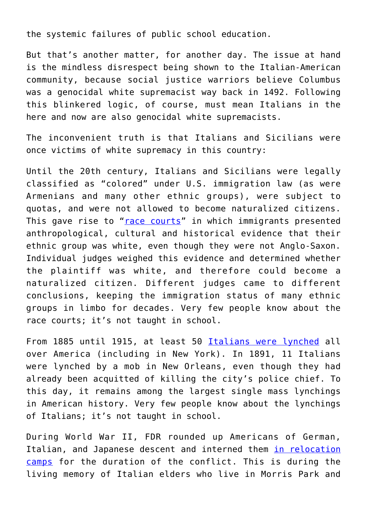the systemic failures of public school education.

But that's another matter, for another day. The issue at hand is the mindless disrespect being shown to the Italian-American community, because social justice warriors believe Columbus was a genocidal white supremacist way back in 1492. Following this blinkered logic, of course, must mean Italians in the here and now are also genocidal white supremacists.

The inconvenient truth is that Italians and Sicilians were once victims of white supremacy in this country:

Until the 20th century, Italians and Sicilians were legally classified as "colored" under U.S. immigration law (as were Armenians and many other ethnic groups), were subject to quotas, and were not allowed to become naturalized citizens. This gave rise to "[race courts"](https://www.brooklinema.gov/DocumentCenter/View/8477/White-By-Law---Haney-Lopez--abridged-version?bidId=) in which immigrants presented anthropological, cultural and historical evidence that their ethnic group was white, even though they were not Anglo-Saxon. Individual judges weighed this evidence and determined whether the plaintiff was white, and therefore could become a naturalized citizen. Different judges came to different conclusions, keeping the immigration status of many ethnic groups in limbo for decades. Very few people know about the race courts; it's not taught in school.

From 1885 until 1915, at least 50 [Italians were lynched](https://www.globalresearch.ca/the-new-orleans-eleven-the-untold-history-of-the-lynching-of-italians-in-america/5372379?fbclid=IwAR2iSmL7ABbj4zcY4uBt7ON6HM7FOW04VRTPZOVHgRyW9Cj3ANtGKEj2L9E) all over America (including in New York). In 1891, 11 Italians were lynched by a mob in New Orleans, even though they had already been acquitted of killing the city's police chief. To this day, it remains among the largest single mass lynchings in American history. Very few people know about the lynchings of Italians; it's not taught in school.

During World War II, FDR rounded up Americans of German, Italian, and Japanese descent and interned them *[in relocation](https://www.history.com/news/italian-american-internment-persecution-wwii)* [camps](https://www.history.com/news/italian-american-internment-persecution-wwii) for the duration of the conflict. This is during the living memory of Italian elders who live in Morris Park and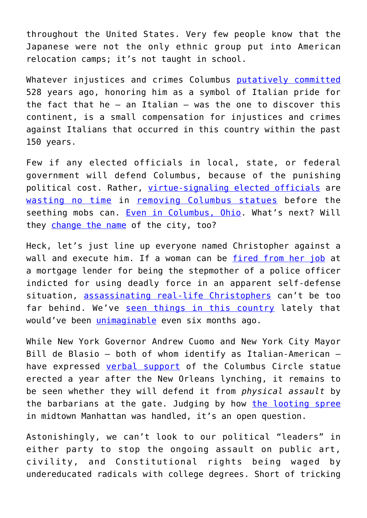throughout the United States. Very few people know that the Japanese were not the only ethnic group put into American relocation camps; it's not taught in school.

Whatever injustices and crimes Columbus [putatively committed](https://www.officialchristophercolumbus.com/2020/06/debunking-top-5-atrocities-committed-by.html) 528 years ago, honoring him as a symbol of Italian pride for the fact that he – an Italian – was the one to discover this continent, is a small compensation for injustices and crimes against Italians that occurred in this country within the past 150 years.

Few if any elected officials in local, state, or federal government will defend Columbus, because of the punishing political cost. Rather, [virtue-signaling elected officials](https://www.tapinto.net/articles/west-orange-elected-officials-address-removal-of-columbus-statue-create-civilian-review-board-at-town-hall-2) are [wasting no time](https://www.northjersey.com/story/news/essex/2020/06/15/christopher-columbus-statue-west-orange-nj-removed/3189877001/) in [removing Columbus statues](https://www.delawareonline.com/story/news/2020/06/12/wilmington-remove-christopher-columbus-caesar-rodney-statues/3175003001/) before the seething mobs can. [Even in Columbus, Ohio](https://wsbt.com/news/nation-world/city-of-columbus-to-remove-christopher-columbus-statue). What's next? Will they [change the name](https://www.cnn.com/2020/06/21/us/guy-fieri-flavortown-columbus-ohio-petition-trnd/index.html) of the city, too?

Heck, let's just line up everyone named Christopher against a wall and execute him. If a woman can be [fired from her job](https://www.lawenforcementtoday.com/former-officer-rolfe-shooter-of-rayshard-brooks-stepmother-fired-from-her-job/) at a mortgage lender for being the stepmother of a police officer indicted for using deadly force in an apparent self-defense situation, [assassinating real-life Christophers](https://www.usatoday.com/story/opinion/2017/10/09/christopher-columbus-xx-my-ancestor-wasnt-evil-column/744333001/) can't be too far behind. We've [seen things in this country](https://youtu.be/cefDp_rsfgo) lately that would've been [unimaginable](https://www.greenwichtime.com/news/article/As-protests-spread-to-small-town-America-militia-15348677.php) even six months ago.

While New York Governor Andrew Cuomo and New York City Mayor Bill de Blasio – both of whom identify as Italian-American – have expressed [verbal support](https://www.cnn.com/2020/06/12/us/nyc-columbus-statue-trnd/index.html) of the Columbus Circle statue erected a year after the New Orleans lynching, it remains to be seen whether they will defend it from *physical assault* by the barbarians at the gate. Judging by how [the looting spree](https://patch.com/new-york/midtown-nyc/looters-hit-manhattan-stores-3rd-night-cause-less-damage) in midtown Manhattan was handled, it's an open question.

Astonishingly, we can't look to our political "leaders" in either party to stop the ongoing assault on public art, civility, and Constitutional rights being waged by undereducated radicals with college degrees. Short of tricking